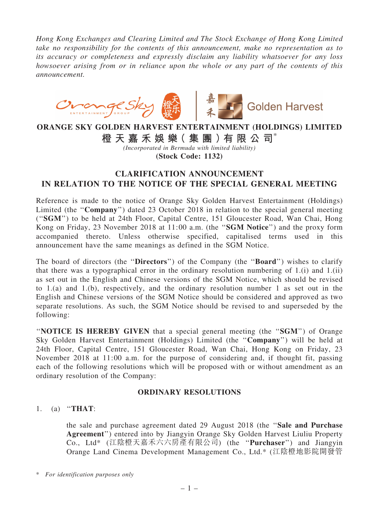*Hong Kong Exchanges and Clearing Limited and The Stock Exchange of Hong Kong Limited take no responsibility for the contents of this announcement, make no representation as to its accuracy or completeness and expressly disclaim any liability whatsoever for any loss howsoever arising from or in reliance upon the whole or any part of the contents of this announcement.*



## ORANGE SKY GOLDEN HARVEST ENTERTAINMENT (HOLDINGS) LIMITED

# 橙 天 嘉 禾 娛 樂( 集 團 )有 限 公 司\*

*(Incorporated in Bermuda with limited liability)* (Stock Code: 1132)

# CLARIFICATION ANNOUNCEMENT IN RELATION TO THE NOTICE OF THE SPECIAL GENERAL MEETING

Reference is made to the notice of Orange Sky Golden Harvest Entertainment (Holdings) Limited (the "**Company**") dated 23 October 2018 in relation to the special general meeting (''SGM'') to be held at 24th Floor, Capital Centre, 151 Gloucester Road, Wan Chai, Hong Kong on Friday, 23 November 2018 at 11:00 a.m. (the "SGM Notice") and the proxy form accompanied thereto. Unless otherwise specified, capitalised terms used in this announcement have the same meanings as defined in the SGM Notice.

The board of directors (the "Directors") of the Company (the "Board") wishes to clarify that there was a typographical error in the ordinary resolution numbering of 1.(i) and 1.(ii) as set out in the English and Chinese versions of the SGM Notice, which should be revised to 1.(a) and 1.(b), respectively, and the ordinary resolution number 1 as set out in the English and Chinese versions of the SGM Notice should be considered and approved as two separate resolutions. As such, the SGM Notice should be revised to and superseded by the following:

''NOTICE IS HEREBY GIVEN that a special general meeting (the ''SGM'') of Orange Sky Golden Harvest Entertainment (Holdings) Limited (the ''Company'') will be held at 24th Floor, Capital Centre, 151 Gloucester Road, Wan Chai, Hong Kong on Friday, 23 November 2018 at 11:00 a.m. for the purpose of considering and, if thought fit, passing each of the following resolutions which will be proposed with or without amendment as an ordinary resolution of the Company:

### ORDINARY RESOLUTIONS

#### 1. (a) ''THAT:

the sale and purchase agreement dated 29 August 2018 (the ''Sale and Purchase Agreement'') entered into by Jiangyin Orange Sky Golden Harvest Liuliu Property Co., Ltd\* (江陰橙天嘉禾六六房產有限公司) (the ''Purchaser'') and Jiangyin Orange Land Cinema Development Management Co., Ltd.\* (江陰橙地影院開發管

<sup>\*</sup> *For identification purposes only*